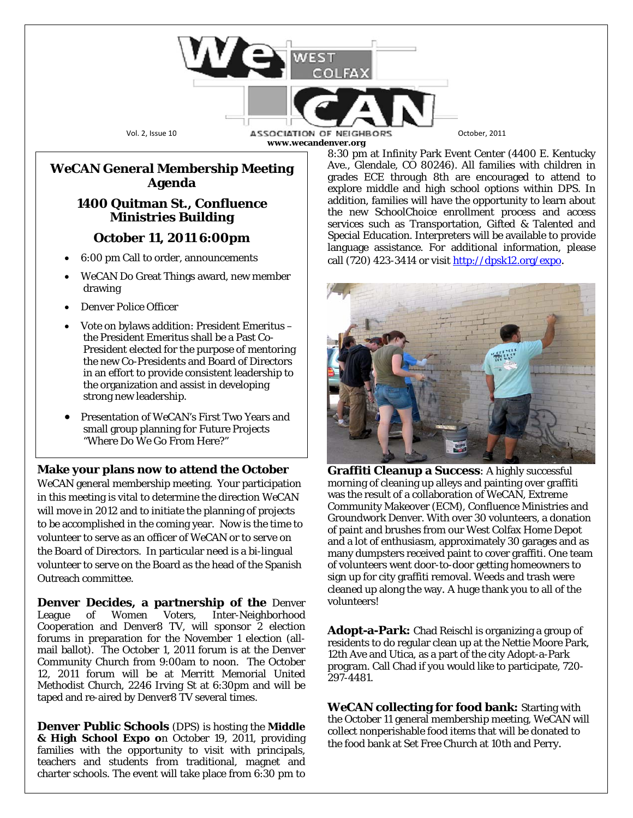Vol. 2, Issue 10 **ASSOCIATION OF NEIGHBORS** October, 2011 **www.wecandenver.org**

## *WeCAN* **General Membership Meeting Agenda**

## **1400 Quitman St., Confluence Ministries Building**

## **October 11, 2011 6:00pm**

- 6:00 pm Call to order, announcements
- WeCAN Do Great Things award, new member drawing
- Denver Police Officer
- Vote on bylaws addition: President Emeritus the President Emeritus shall be a Past Co-President elected for the purpose of mentoring the new Co-Presidents and Board of Directors in an effort to provide consistent leadership to the organization and assist in developing strong new leadership.
- Presentation of *WeCAN*'s First Two Years and small group planning for Future Projects "Where Do We Go From Here?"

## **Make your plans now to attend the October**

*WeCAN* general membership meeting. Your participation in this meeting is vital to determine the direction *WeCAN* will move in 2012 and to initiate the planning of projects to be accomplished in the coming year. Now is the time to volunteer to serve as an officer of *WeCAN* or to serve on the Board of Directors. In particular need is a bi-lingual volunteer to serve on the Board as the head of the Spanish Outreach committee.

**Denver Decides, a partnership of the** Denver League of Women Voters, Inter-Neighborhood Cooperation and Denver8 TV, will sponsor 2 election forums in preparation for the November 1 election (allmail ballot). The October 1, 2011 forum is at the Denver Community Church from 9:00am to noon. The October 12, 2011 forum will be at Merritt Memorial United Methodist Church, 2246 Irving St at 6:30pm and will be taped and re-aired by Denver8 TV several times.

**Denver Public Schools** (DPS) is hosting the **Middle & High School Expo o**n October 19, 2011, providing families with the opportunity to visit with principals, teachers and students from traditional, magnet and charter schools. The event will take place from 6:30 pm to 8:30 pm at Infinity Park Event Center (4400 E. Kentucky Ave., Glendale, CO 80246). All families with children in grades ECE through 8th are encouraged to attend to explore middle and high school options within DPS. In addition, families will have the opportunity to learn about the new SchoolChoice enrollment process and access services such as Transportation, Gifted & Talented and Special Education. Interpreters will be available to provide language assistance. For additional information, please call (720) 423-3414 or visit  $\frac{http://dpsk12.org/expo.}{http://dpsk12.org/expo.}$ 



**Graffiti Cleanup a Success**: A highly successful morning of cleaning up alleys and painting over graffiti was the result of a collaboration of *WeCAN*, Extreme Community Makeover (ECM), Confluence Ministries and Groundwork Denver. With over 30 volunteers, a donation of paint and brushes from our West Colfax Home Depot and a lot of enthusiasm, approximately 30 garages and as many dumpsters received paint to cover graffiti. One team of volunteers went door-to-door getting homeowners to sign up for city graffiti removal. Weeds and trash were cleaned up along the way. A huge thank you to all of the volunteers!

**Adopt-a-Park:** Chad Reischl is organizing a group of residents to do regular clean up at the Nettie Moore Park, 12th Ave and Utica, as a part of the city Adopt-a-Park program. Call Chad if you would like to participate, 720- 297-4481.

*WeCAN* **collecting for food bank:** Starting with the October 11 general membership meeting, WeCAN will collect nonperishable food items that will be donated to the food bank at Set Free Church at 10th and Perry.